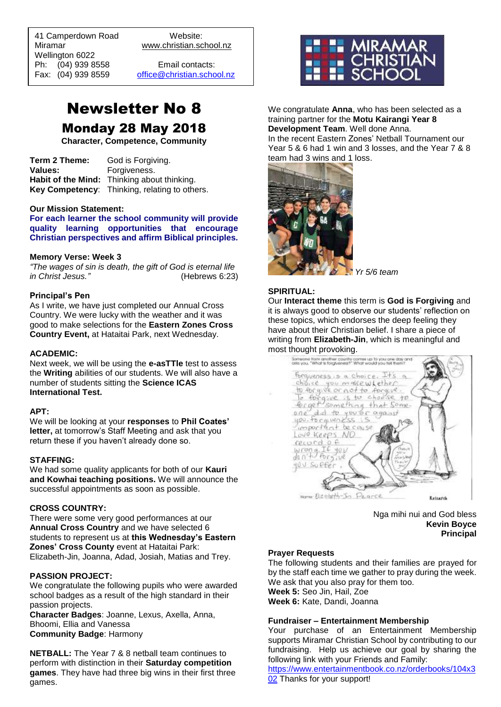41 Camperdown Road Website: Miramar www.christian.school.nz Wellington 6022 Ph: (04) 939 8558 Email contacts:<br>Fax: (04) 939 8559 office@christian.scho

 $\overline{a}$ 

[office@christian.school.nz](mailto:office@christian.school.nz)

## Newsletter No 8 Monday 28 May 2018

**Character, Competence, Community**

**Term 2 Theme:** God is Forgiving. **Values:** Forgiveness. **Habit of the Mind:** Thinking about thinking. **Key Competency**: Thinking, relating to others.

#### **Our Mission Statement:**

**For each learner the school community will provide quality learning opportunities that encourage Christian perspectives and affirm Biblical principles***.*

#### **Memory Verse: Week 3**

*"The wages of sin is death, the gift of God is eternal life in Christ Jesus."* (Hebrews 6:23)

#### **Principal's Pen**

As I write, we have just completed our Annual Cross Country. We were lucky with the weather and it was good to make selections for the **Eastern Zones Cross Country Event,** at Hataitai Park, next Wednesday.

#### **ACADEMIC:**

Next week, we will be using the **e-asTTle** test to assess the **Writing** abilities of our students. We will also have a number of students sitting the **Science ICAS International Test.**

#### **APT:**

We will be looking at your **responses** to **Phil Coates' letter,** at tomorrow's Staff Meeting and ask that you return these if you haven't already done so.

#### **STAFFING:**

We had some quality applicants for both of our **Kauri and Kowhai teaching positions.** We will announce the successful appointments as soon as possible.

#### **CROSS COUNTRY:**

There were some very good performances at our **Annual Cross Country** and we have selected 6 students to represent us at **this Wednesday's Eastern Zones' Cross County** event at Hataitai Park: Elizabeth-Jin, Joanna, Adad, Josiah, Matias and Trey.

#### **PASSION PROJECT:**

We congratulate the following pupils who were awarded school badges as a result of the high standard in their passion projects.

**Character Badges**: Joanne, Lexus, Axella, Anna, Bhoomi, Ellia and Vanessa **Community Badge**: Harmony

**NETBALL:** The Year 7 & 8 netball team continues to perform with distinction in their **Saturday competition games**. They have had three big wins in their first three games.



We congratulate **Anna**, who has been selected as a training partner for the **Motu Kairangi Year 8 Development Team**. Well done Anna. In the recent Eastern Zones' Netball Tournament our Year 5 & 6 had 1 win and 3 losses, and the Year 7 & 8



*Yr 5/6 team*

#### **SPIRITUAL:**

Our **Interact theme** this term is **God is Forgiving** and it is always good to observe our students' reflection on these topics, which endorses the deep feeling they have about their Christian belief. I share a piece of writing from **Elizabeth-Jin**, which is meaningful and most thought provoking.



Nga mihi nui and God bless **Kevin Boyce Principal**

#### **Prayer Requests**

The following students and their families are prayed for by the staff each time we gather to pray during the week. We ask that you also pray for them too.

**Week 5:** Seo Jin, Hail, Zoe

**Week 6:** Kate, Dandi, Joanna

#### **Fundraiser – Entertainment Membership**

Your purchase of an Entertainment Membership supports Miramar Christian School by contributing to our fundraising. Help us achieve our goal by sharing the following link with your Friends and Family:

[https://www.entertainmentbook.co.nz/orderbooks/104x3](https://www.entertainmentbook.co.nz/orderbooks/104x302) [02](https://www.entertainmentbook.co.nz/orderbooks/104x302) Thanks for your support!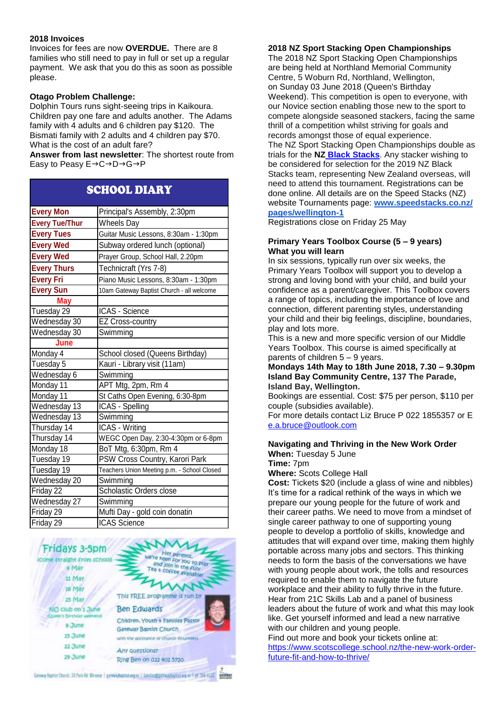#### **2018 Invoices**

Invoices for fees are now **OVERDUE.** There are 8 families who still need to pay in full or set up a regular payment. We ask that you do this as soon as possible please.

#### **Otago Problem Challenge:**

Dolphin Tours runs sight-seeing trips in Kaikoura. Children pay one fare and adults another. The Adams family with 4 adults and 6 children pay \$120. The Bismati family with 2 adults and 4 children pay \$70. What is the cost of an adult fare?

**Answer from last newsletter**: The shortest route from Easy to Peasy  $E \rightarrow C \rightarrow D \rightarrow G \rightarrow P$ 

### SCHOOL DIARY

| <b>Every Mon</b>      | Principal's Assembly, 2:30pm                |
|-----------------------|---------------------------------------------|
| <b>Every Tue/Thur</b> | <b>Wheels Day</b>                           |
| <b>Every Tues</b>     | Guitar Music Lessons, 8:30am - 1:30pm       |
| <b>Every Wed</b>      | Subway ordered lunch (optional)             |
| <b>Every Wed</b>      | Prayer Group, School Hall, 2.20pm           |
| <b>Every Thurs</b>    | Technicraft (Yrs 7-8)                       |
| <b>Every Fri</b>      | Piano Music Lessons, 8:30am - 1:30pm        |
| <b>Every Sun</b>      | 10am Gateway Baptist Church - all welcome   |
| <b>May</b>            |                                             |
| Tuesday 29            | ICAS - Science                              |
| Wednesday 30          | <b>EZ Cross-country</b>                     |
| Wednesday 30          | Swimming                                    |
| June                  |                                             |
| Monday 4              | School closed (Queens Birthday)             |
| Tuesday 5             | Kauri - Library visit (11am)                |
| Wednesday 6           | Swimming                                    |
| Monday 11             | APT Mtg, 2pm, Rm 4                          |
| Monday 11             | St Caths Open Evening, 6:30-8pm             |
| Wednesday 13          | ICAS - Spelling                             |
| Wednesday 13          | Swimming                                    |
| Thursday 14           | ICAS - Writing                              |
| Thursday 14           | WEGC Open Day, 2:30-4:30pm or 6-8pm         |
| Monday 18             | BoT Mtg, 6:30pm, Rm 4                       |
| Tuesday 19            | PSW Cross Country, Karori Park              |
| Tuesday 19            | Teachers Union Meeting p.m. - School Closed |
| Wednesday 20          | Swimming                                    |
| Friday 22             | Scholastic Orders close                     |
| Wednesday 27          | Swimming                                    |
| Friday 29             | Mufti Day - gold coin donatin               |
| Friday 29             | <b>ICAS Science</b>                         |



#### **2018 NZ Sport Stacking Open Championships**

The 2018 NZ Sport Stacking Open Championships are being held at Northland Memorial Community Centre, 5 Woburn Rd, Northland, Wellington, on Sunday 03 June 2018 (Queen's Birthday Weekend). This competition is open to everyone, with our Novice section enabling those new to the sport to compete alongside seasoned stackers, facing the same thrill of a competition whilst striving for goals and records amongst those of equal experience. The NZ Sport Stacking Open Championships double as trials for the **NZ Black [Stacks](http://newzealandblackstacks.wikispaces.com/)**. Any stacker wishing to be considered for selection for the 2019 NZ Black Stacks team, representing New Zealand overseas, will need to attend this tournament. Registrations can be done online. All details are on the Speed Stacks (NZ) website Tournaments page: **[www.speedstacks.co.nz/](http://www.speedstacks.co.nz/pages/wellington-1) [pages/wellington-1](http://www.speedstacks.co.nz/pages/wellington-1)**

Registrations close on Friday 25 May

#### **Primary Years Toolbox Course (5 – 9 years) What you will learn**

In six sessions, typically run over six weeks, the Primary Years Toolbox will support you to develop a strong and loving bond with your child, and build your confidence as a parent/caregiver. This Toolbox covers a range of topics, including the importance of love and connection, different parenting styles, understanding your child and their big feelings, discipline, boundaries, play and lots more.

This is a new and more specific version of our Middle Years Toolbox. This course is aimed specifically at parents of children 5 – 9 years.

**Mondays 14th May to 18th June 2018, 7.30 – 9.30pm Island Bay Community Centre, 137 The Parade, Island Bay, Wellington.**

Bookings are essential. Cost: \$75 per person, \$110 per couple (subsidies available).

For more details contact Liz Bruce P 022 1855357 or E [e.a.bruce@outlook.com](mailto:e.a.bruce@outlook.com)

## **Navigating and Thriving in the New Work Order**

**When:** Tuesday 5 June **Time:** 7pm

**Where:** Scots College Hall

**Cost:** Tickets \$20 (include a glass of wine and nibbles) It's time for a radical rethink of the ways in which we prepare our young people for the future of work and their career paths. We need to move from a mindset of single career pathway to one of supporting young people to develop a portfolio of skills, knowledge and attitudes that will expand over time, making them highly portable across many jobs and sectors. This thinking needs to form the basis of the conversations we have with young people about work, the tolls and resources required to enable them to navigate the future workplace and their ability to fully thrive in the future. Hear from 21C Skills Lab and a panel of business leaders about the future of work and what this may look like. Get yourself informed and lead a new narrative with our children and young people.

Find out more and book your tickets online at: [https://www.scotscollege.school.nz/the-new-work-order](https://www.scotscollege.school.nz/the-new-work-order-future-fit-and-how-to-thrive/)[future-fit-and-how-to-thrive/](https://www.scotscollege.school.nz/the-new-work-order-future-fit-and-how-to-thrive/)